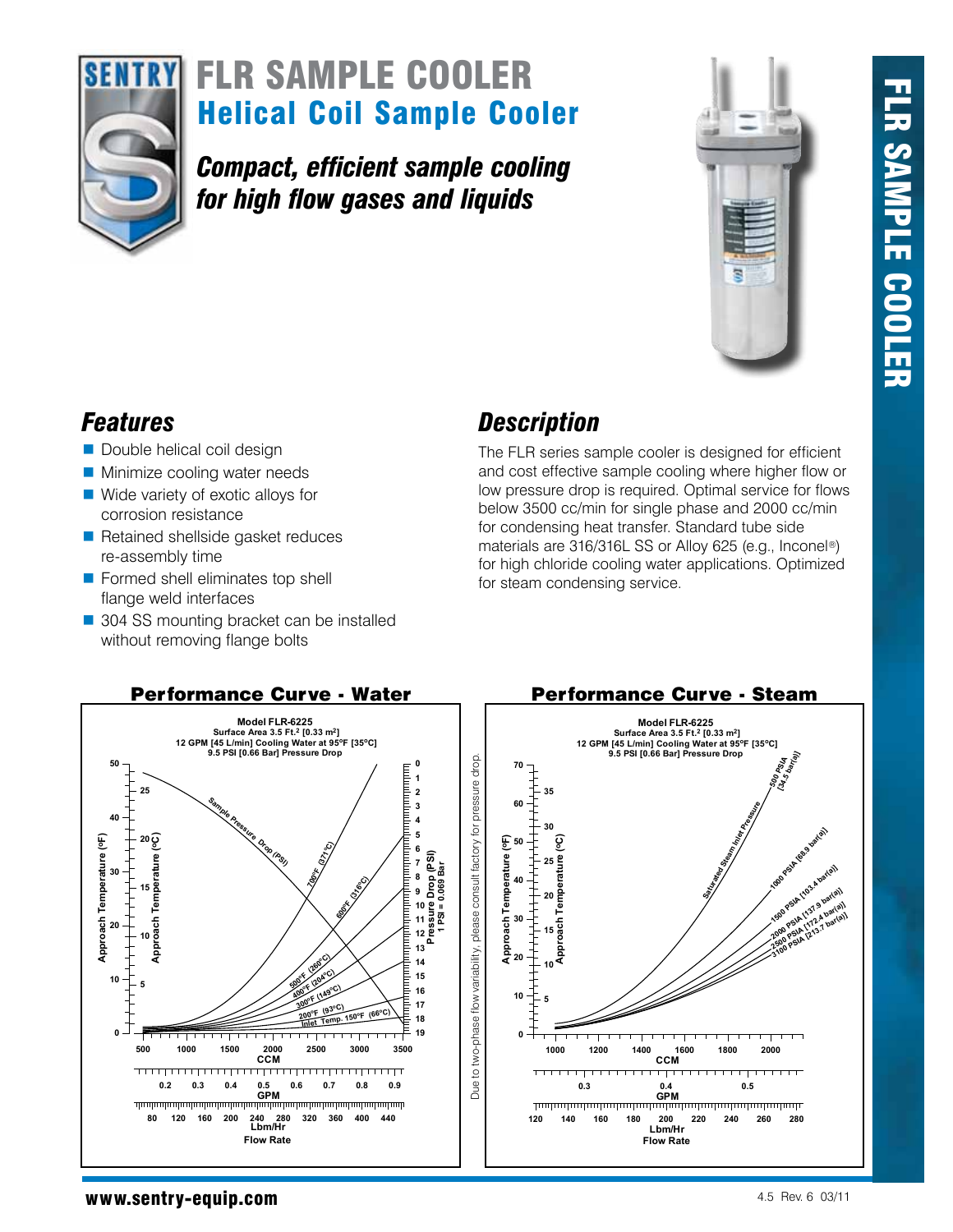



# Helical Coil Sample Cooler **SENTRY FLR SAMPLE COOLER**

*Compact, efficient sample cooling for high flow gases and liquids*



- Double helical coil design
- **Minimize cooling water needs**
- Wide variety of exotic alloys for corrosion resistance
- Retained shellside gasket reduces re-assembly time
- **Formed shell eliminates top shell** flange weld interfaces
- 304 SS mounting bracket can be installed without removing flange bolts

## *Features Description*

The FLR series sample cooler is designed for efficient and cost effective sample cooling where higher flow or low pressure drop is required. Optimal service for flows below 3500 cc/min for single phase and 2000 cc/min for condensing heat transfer. Standard tube side materials are 316/316L SS or Alloy 625 (e.g., Inconel®) for high chloride cooling water applications. Optimized for steam condensing service.



#### www.sentry-equip.com 4.5 Rev. 6 03/11